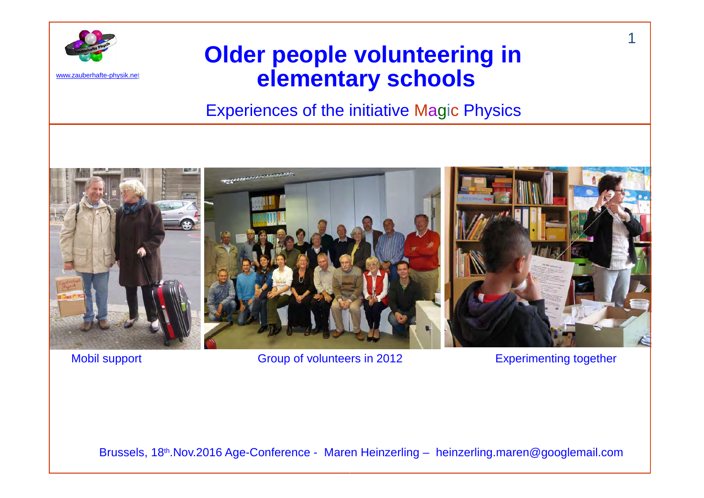

www.zauberhafte-physik.net

#### **Older people volunteering in elementary schools**

Experiences of the initiative M a gic Physics



Mobil support **Group of volunteers in 2012** Experimenting together

Brussels, 18th.Nov.2016 Age-Conference - Maren Heinzerling – heinzerling.maren@googlemail.com

1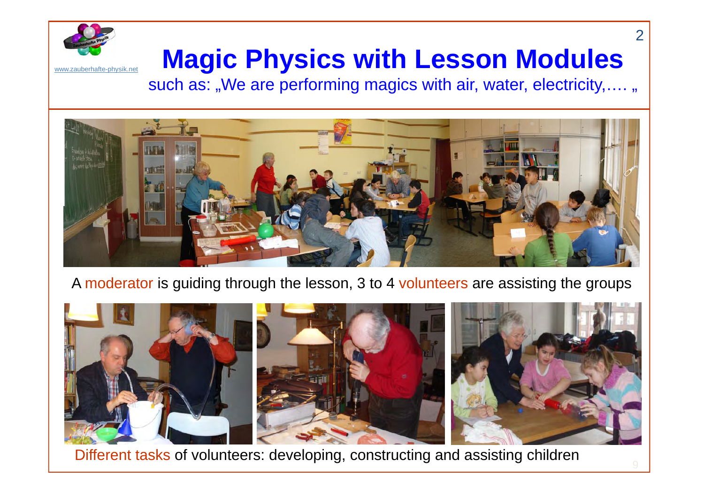

# **Magic Physics with Lesson Modules**

such as: "We are performing magics with air, water, electricity,.... "



#### A moderator is guiding through the lesson, 3 to 4 volunteers are assisting the groups



Different tasks of volunteers: developing, constructing and assisting children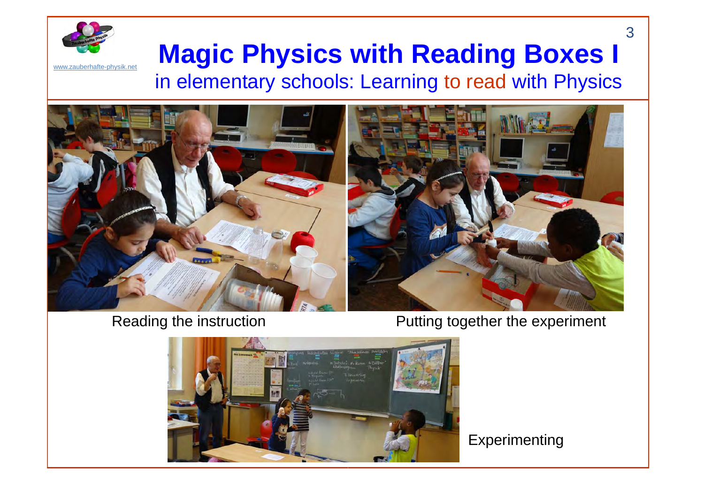

# **Magic Physics with Reading Boxes I**

in elementary schools: Learning to read with Physics



Reading the instruction **Putting together the experiment** 



**Experimenting** 

3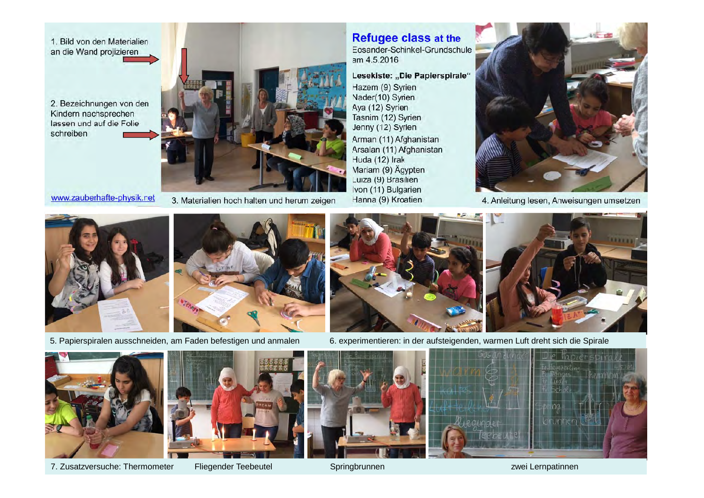

www.zauberhafte-physik.net

3. Materialien hoch halten und herum zeigen

#### **Refugee class at the**

Eosander-Schinkel-Grundschule am 4.5.2016

Lesekiste: "Die Papierspirale"

Hazem (9) Syrien Nader(10) Syrien Aya (12) Syrien Tasnim (12) Syrien Jenny (12) Syrien Arman (11) Afghanistan Arsalan (11) Afghanistan Huda (12) Irak Mariam (9) Ägypten Luiza (9) Brasilien Ivon (11) Bulgarien Hanna (9) Kroatien



4. Anleitung lesen, Anweisungen umsetzen







5. Papierspiralen ausschneiden, am Faden befestigen und anmalen 6. experimentieren: in der aufsteigenden, warmen Luft dreht sich die Spirale













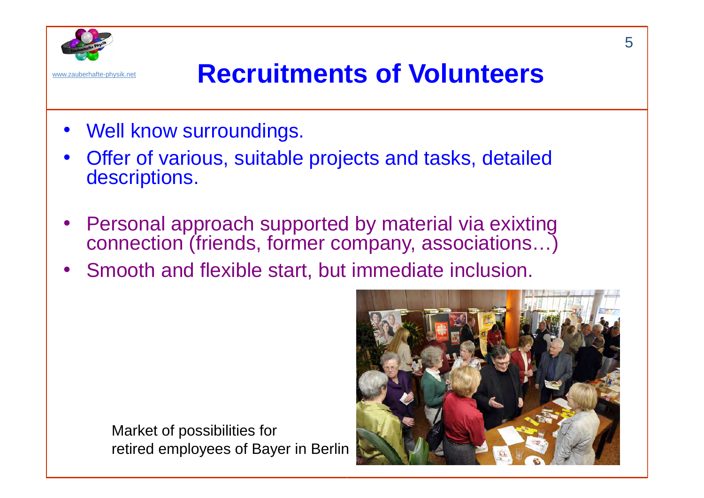

## www.zauberhafte-physik.net **Recruitments of Volunteers**

- Well know surroundings.
- • Offer of various, suitable projects and tasks, detailed descriptions.
- • Personal approach supported by material via exixting connection (friends, former company, associations…)
- Smooth and flexible start, but immediate inclusion.

Market of possibilities for retired employees of Bayer in Berlin

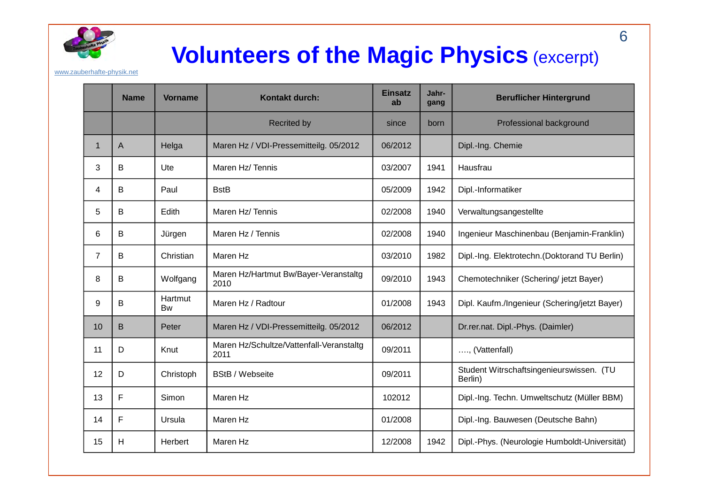

#### **Volunteers of the Magic Physics** (excerpt)

www.zauberhafte-physik.net

|                | <b>Name</b>  | <b>Vorname</b>       | Kontakt durch:                                   | <b>Einsatz</b><br>ab | Jahr-<br>gang | <b>Beruflicher Hintergrund</b>                      |
|----------------|--------------|----------------------|--------------------------------------------------|----------------------|---------------|-----------------------------------------------------|
|                |              |                      | <b>Recrited by</b>                               | since                | born          | Professional background                             |
| $\mathbf 1$    | $\mathsf{A}$ | Helga                | Maren Hz / VDI-Pressemitteilg. 05/2012           | 06/2012              |               | Dipl.-Ing. Chemie                                   |
| 3              | B            | Ute                  | Maren Hz/Tennis                                  | 03/2007              | 1941          | Hausfrau                                            |
| 4              | B            | Paul                 | <b>BstB</b>                                      | 05/2009              | 1942          | Dipl.-Informatiker                                  |
| 5              | B            | Edith                | Maren Hz/Tennis                                  | 02/2008              | 1940          | Verwaltungsangestellte                              |
| 6              | B            | Jürgen               | Maren Hz / Tennis                                | 02/2008              | 1940          | Ingenieur Maschinenbau (Benjamin-Franklin)          |
| $\overline{7}$ | B            | Christian            | Maren Hz                                         | 03/2010              | 1982          | Dipl.-Ing. Elektrotechn. (Doktorand TU Berlin)      |
| 8              | B            | Wolfgang             | Maren Hz/Hartmut Bw/Bayer-Veranstaltg<br>2010    | 09/2010              | 1943          | Chemotechniker (Schering/ jetzt Bayer)              |
| 9              | B            | Hartmut<br><b>Bw</b> | Maren Hz / Radtour                               | 01/2008              | 1943          | Dipl. Kaufm./Ingenieur (Schering/jetzt Bayer)       |
| 10             | B            | Peter                | Maren Hz / VDI-Pressemitteilg. 05/2012           | 06/2012              |               | Dr.rer.nat. Dipl.-Phys. (Daimler)                   |
| 11             | D            | Knut                 | Maren Hz/Schultze/Vattenfall-Veranstaltg<br>2011 | 09/2011              |               | , (Vattenfall)                                      |
| 12             | D            | Christoph            | <b>BStB / Webseite</b>                           | 09/2011              |               | Student Witrschaftsingenieurswissen. (TU<br>Berlin) |
| 13             | F            | Simon                | Maren Hz                                         | 102012               |               | Dipl.-Ing. Techn. Umweltschutz (Müller BBM)         |
| 14             | F            | Ursula               | Maren Hz                                         | 01/2008              |               | Dipl.-Ing. Bauwesen (Deutsche Bahn)                 |
| 15             | H            | Herbert              | Maren Hz                                         | 12/2008              | 1942          | Dipl.-Phys. (Neurologie Humboldt-Universität)       |

6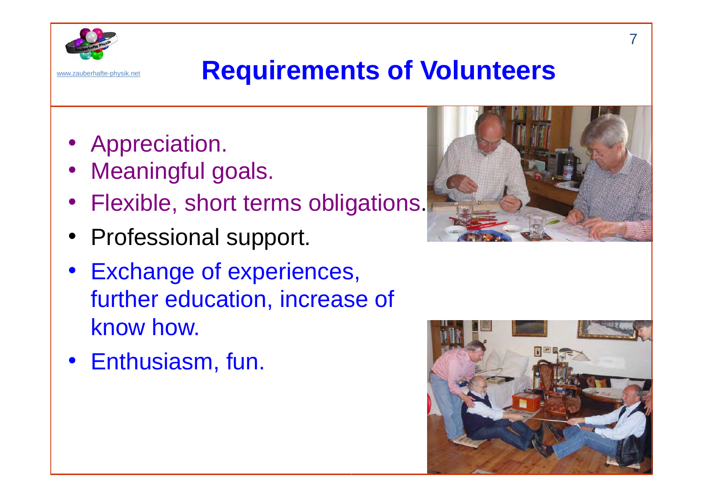

## www.zauberhafte-physik.net **Requirements of Volunteers**

- Appreciation.
- Meaningful goals.
- Flexible, short terms obligations.
- Professional support.
- Exchange of experiences, further education, increase of know how.
- Enthusiasm, fun.



![](_page_6_Picture_9.jpeg)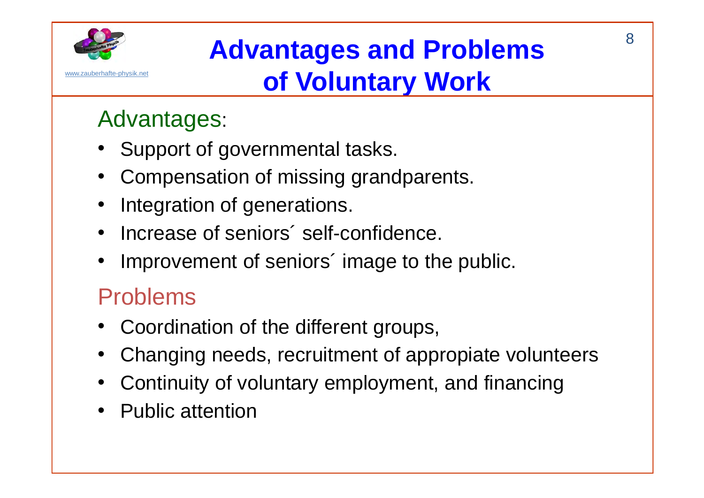![](_page_7_Picture_0.jpeg)

# **Advantages and Problems of Voluntary Work**

### Advantages:

- •Support of governmental tasks.
- •Compensation of missing grandparents.
- •Integration of generations.
- •Increase of seniors´ self-confidence.
- •Improvement of seniors' image to the public.

#### Problems

- Coordination of the different groups,
- •Changing needs, recruitment of appropiate volunteers
- Continuity of voluntary employment, and financing
- Public attention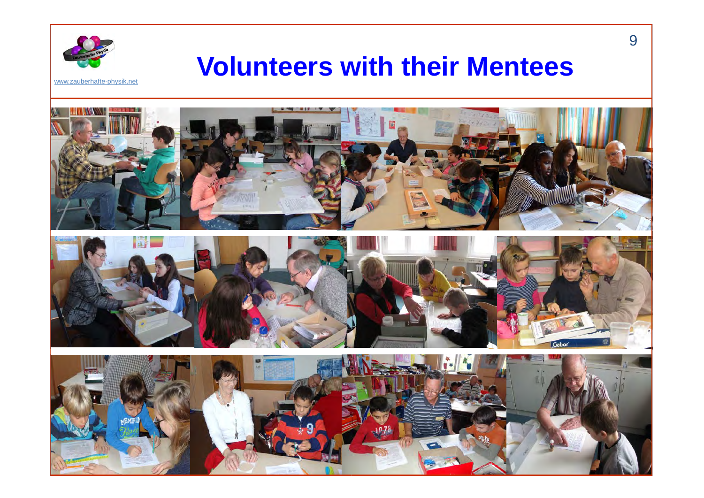![](_page_8_Picture_0.jpeg)

### **Volunteers with their Mentees**

www.zauberhafte-physik.net

![](_page_8_Picture_3.jpeg)